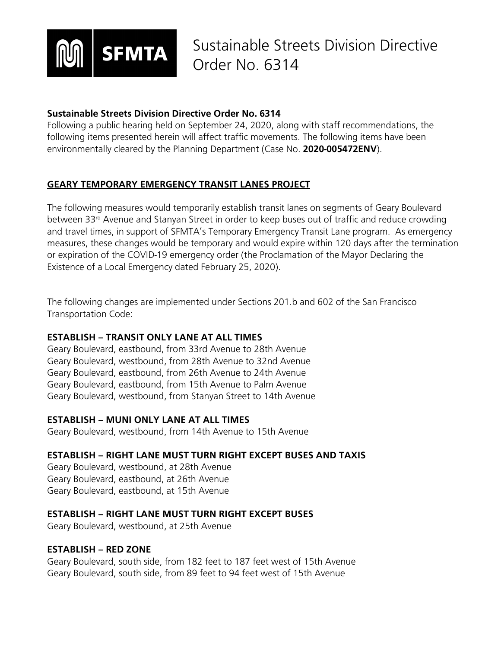

### **Sustainable Streets Division Directive Order No. 6314**

Following a public hearing held on September 24, 2020, along with staff recommendations, the following items presented herein will affect traffic movements. The following items have been environmentally cleared by the Planning Department (Case No. **2020-005472ENV**).

# **GEARY TEMPORARY EMERGENCY TRANSIT LANES PROJECT**

The following measures would temporarily establish transit lanes on segments of Geary Boulevard between 33<sup>rd</sup> Avenue and Stanyan Street in order to keep buses out of traffic and reduce crowding and travel times, in support of SFMTA's Temporary Emergency Transit Lane program. As emergency measures, these changes would be temporary and would expire within 120 days after the termination or expiration of the COVID-19 emergency order (the Proclamation of the Mayor Declaring the Existence of a Local Emergency dated February 25, 2020).

The following changes are implemented under Sections 201.b and 602 of the San Francisco Transportation Code:

# **ESTABLISH – TRANSIT ONLY LANE AT ALL TIMES**

Geary Boulevard, eastbound, from 33rd Avenue to 28th Avenue Geary Boulevard, westbound, from 28th Avenue to 32nd Avenue Geary Boulevard, eastbound, from 26th Avenue to 24th Avenue Geary Boulevard, eastbound, from 15th Avenue to Palm Avenue Geary Boulevard, westbound, from Stanyan Street to 14th Avenue

# **ESTABLISH – MUNI ONLY LANE AT ALL TIMES**

Geary Boulevard, westbound, from 14th Avenue to 15th Avenue

# **ESTABLISH – RIGHT LANE MUST TURN RIGHT EXCEPT BUSES AND TAXIS**

Geary Boulevard, westbound, at 28th Avenue Geary Boulevard, eastbound, at 26th Avenue Geary Boulevard, eastbound, at 15th Avenue

# **ESTABLISH – RIGHT LANE MUST TURN RIGHT EXCEPT BUSES**

Geary Boulevard, westbound, at 25th Avenue

#### **ESTABLISH – RED ZONE**

Geary Boulevard, south side, from 182 feet to 187 feet west of 15th Avenue Geary Boulevard, south side, from 89 feet to 94 feet west of 15th Avenue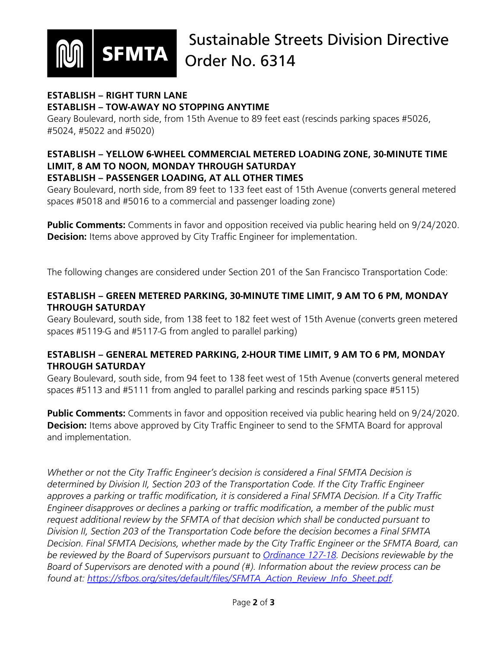

#### **ESTABLISH – RIGHT TURN LANE ESTABLISH – TOW-AWAY NO STOPPING ANYTIME**

Geary Boulevard, north side, from 15th Avenue to 89 feet east (rescinds parking spaces #5026, #5024, #5022 and #5020)

#### **ESTABLISH – YELLOW 6-WHEEL COMMERCIAL METERED LOADING ZONE, 30-MINUTE TIME LIMIT, 8 AM TO NOON, MONDAY THROUGH SATURDAY ESTABLISH – PASSENGER LOADING, AT ALL OTHER TIMES**

Geary Boulevard, north side, from 89 feet to 133 feet east of 15th Avenue (converts general metered spaces #5018 and #5016 to a commercial and passenger loading zone)

**Public Comments:** Comments in favor and opposition received via public hearing held on 9/24/2020. **Decision:** Items above approved by City Traffic Engineer for implementation.

The following changes are considered under Section 201 of the San Francisco Transportation Code:

# **ESTABLISH – GREEN METERED PARKING, 30-MINUTE TIME LIMIT, 9 AM TO 6 PM, MONDAY THROUGH SATURDAY**

Geary Boulevard, south side, from 138 feet to 182 feet west of 15th Avenue (converts green metered spaces #5119-G and #5117-G from angled to parallel parking)

# **ESTABLISH – GENERAL METERED PARKING, 2-HOUR TIME LIMIT, 9 AM TO 6 PM, MONDAY THROUGH SATURDAY**

Geary Boulevard, south side, from 94 feet to 138 feet west of 15th Avenue (converts general metered spaces #5113 and #5111 from angled to parallel parking and rescinds parking space #5115)

**Public Comments:** Comments in favor and opposition received via public hearing held on 9/24/2020. **Decision:** Items above approved by City Traffic Engineer to send to the SFMTA Board for approval and implementation.

*Whether or not the City Traffic Engineer's decision is considered a Final SFMTA Decision is determined by Division II, Section 203 of the Transportation Code. If the City Traffic Engineer approves a parking or traffic modification, it is considered a Final SFMTA Decision. If a City Traffic Engineer disapproves or declines a parking or traffic modification, a member of the public must request additional review by the SFMTA of that decision which shall be conducted pursuant to Division II, Section 203 of the Transportation Code before the decision becomes a Final SFMTA Decision. Final SFMTA Decisions, whether made by the City Traffic Engineer or the SFMTA Board, can be reviewed by the Board of Supervisors pursuant to [Ordinance 127-18.](https://sfbos.org/sites/default/files/o0127-18.pdf) Decisions reviewable by the Board of Supervisors are denoted with a pound (#). Information about the review process can be found at: [https://sfbos.org/sites/default/files/SFMTA\\_Action\\_Review\\_Info\\_Sheet.pdf.](https://sfbos.org/sites/default/files/SFMTA_Action_Review_Info_Sheet.pdf)*